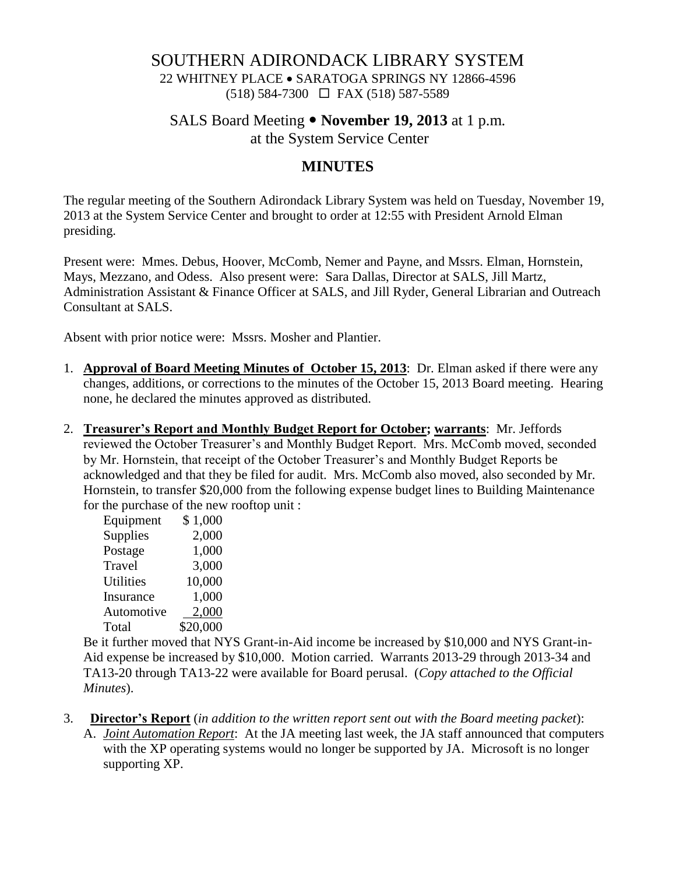### SOUTHERN ADIRONDACK LIBRARY SYSTEM

22 WHITNEY PLACE • SARATOGA SPRINGS NY 12866-4596 (518) 584-7300 FAX (518) 587-5589

### SALS Board Meeting **November 19, 2013** at 1 p.m. at the System Service Center

### **MINUTES**

The regular meeting of the Southern Adirondack Library System was held on Tuesday, November 19, 2013 at the System Service Center and brought to order at 12:55 with President Arnold Elman presiding.

Present were: Mmes. Debus, Hoover, McComb, Nemer and Payne, and Mssrs. Elman, Hornstein, Mays, Mezzano, and Odess. Also present were: Sara Dallas, Director at SALS, Jill Martz, Administration Assistant & Finance Officer at SALS, and Jill Ryder, General Librarian and Outreach Consultant at SALS.

Absent with prior notice were: Mssrs. Mosher and Plantier.

- 1. **Approval of Board Meeting Minutes of October 15, 2013**: Dr. Elman asked if there were any changes, additions, or corrections to the minutes of the October 15, 2013 Board meeting. Hearing none, he declared the minutes approved as distributed.
- 2. **Treasurer's Report and Monthly Budget Report for October; warrants**: Mr. Jeffords reviewed the October Treasurer's and Monthly Budget Report. Mrs. McComb moved, seconded by Mr. Hornstein, that receipt of the October Treasurer's and Monthly Budget Reports be acknowledged and that they be filed for audit. Mrs. McComb also moved, also seconded by Mr. Hornstein, to transfer \$20,000 from the following expense budget lines to Building Maintenance for the purchase of the new rooftop unit :

| Equipment        | \$1,000  |
|------------------|----------|
| Supplies         | 2,000    |
| Postage          | 1,000    |
| Travel           | 3,000    |
| <b>Utilities</b> | 10,000   |
| Insurance        | 1,000    |
| Automotive       | 2,000    |
| Total            | \$20,000 |

Be it further moved that NYS Grant-in-Aid income be increased by \$10,000 and NYS Grant-in-Aid expense be increased by \$10,000. Motion carried. Warrants 2013-29 through 2013-34 and TA13-20 through TA13-22 were available for Board perusal. (*Copy attached to the Official Minutes*).

- 3. **Director's Report** (*in addition to the written report sent out with the Board meeting packet*):
	- A. *Joint Automation Report*: At the JA meeting last week, the JA staff announced that computers with the XP operating systems would no longer be supported by JA. Microsoft is no longer supporting XP.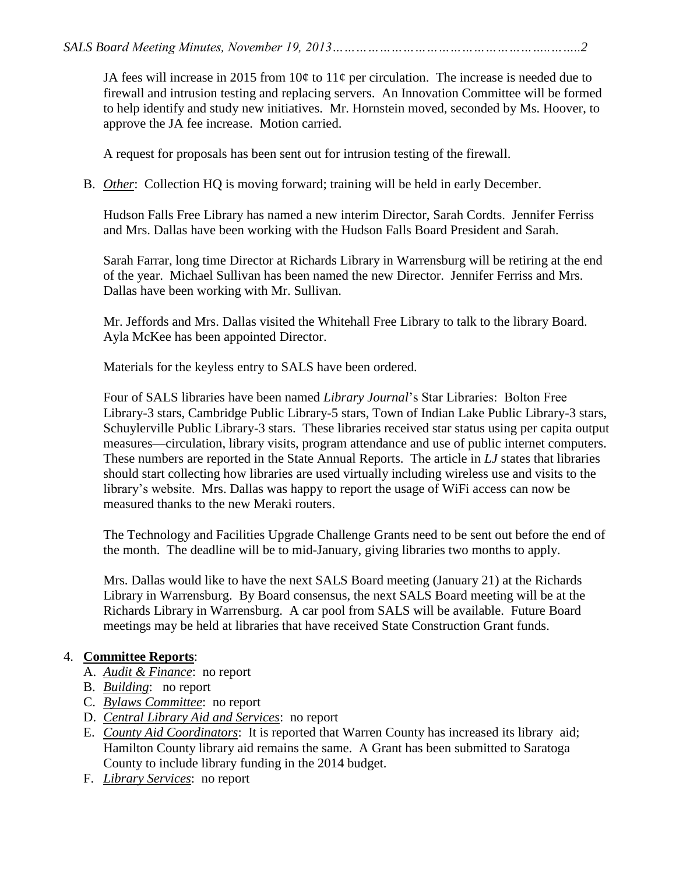JA fees will increase in 2015 from  $10¢$  to  $11¢$  per circulation. The increase is needed due to firewall and intrusion testing and replacing servers. An Innovation Committee will be formed to help identify and study new initiatives. Mr. Hornstein moved, seconded by Ms. Hoover, to approve the JA fee increase. Motion carried.

A request for proposals has been sent out for intrusion testing of the firewall.

B. *Other*: Collection HQ is moving forward; training will be held in early December.

Hudson Falls Free Library has named a new interim Director, Sarah Cordts. Jennifer Ferriss and Mrs. Dallas have been working with the Hudson Falls Board President and Sarah.

Sarah Farrar, long time Director at Richards Library in Warrensburg will be retiring at the end of the year. Michael Sullivan has been named the new Director. Jennifer Ferriss and Mrs. Dallas have been working with Mr. Sullivan.

Mr. Jeffords and Mrs. Dallas visited the Whitehall Free Library to talk to the library Board. Ayla McKee has been appointed Director.

Materials for the keyless entry to SALS have been ordered.

Four of SALS libraries have been named *Library Journal*'s Star Libraries: Bolton Free Library-3 stars, Cambridge Public Library-5 stars, Town of Indian Lake Public Library-3 stars, Schuylerville Public Library-3 stars. These libraries received star status using per capita output measures—circulation, library visits, program attendance and use of public internet computers. These numbers are reported in the State Annual Reports. The article in *LJ* states that libraries should start collecting how libraries are used virtually including wireless use and visits to the library's website. Mrs. Dallas was happy to report the usage of WiFi access can now be measured thanks to the new Meraki routers.

The Technology and Facilities Upgrade Challenge Grants need to be sent out before the end of the month. The deadline will be to mid-January, giving libraries two months to apply.

Mrs. Dallas would like to have the next SALS Board meeting (January 21) at the Richards Library in Warrensburg. By Board consensus, the next SALS Board meeting will be at the Richards Library in Warrensburg. A car pool from SALS will be available. Future Board meetings may be held at libraries that have received State Construction Grant funds.

# 4. **Committee Reports**:

- A. *Audit & Finance*: no report
- B. *Building*: no report
- C. *Bylaws Committee*: no report
- D. *Central Library Aid and Services*: no report
- E. *County Aid Coordinators*: It is reported that Warren County has increased its library aid; Hamilton County library aid remains the same. A Grant has been submitted to Saratoga County to include library funding in the 2014 budget.
- F. *Library Services*: no report